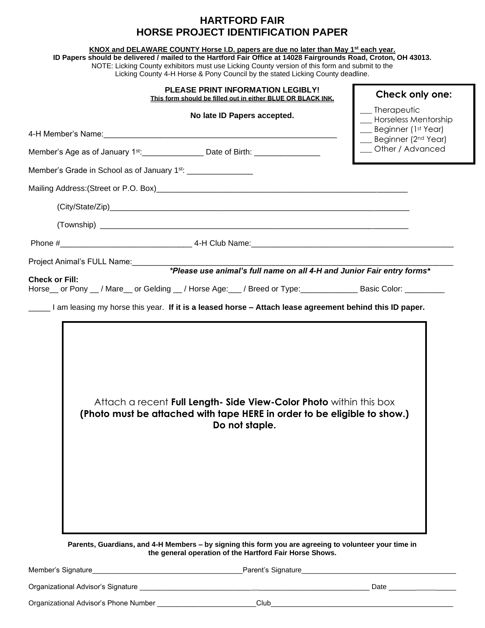## **HARTFORD FAIR HORSE PROJECT IDENTIFICATION PAPER**

| $\equiv$ Therapeutic<br>No late ID Papers accepted.<br>_ Horseless Mentorship<br>Beginner (1st Year)<br>Beginner (2 <sup>nd</sup> Year)<br>_ Other / Advanced<br>Member's Age as of January 1 <sup>st</sup> :_______________Date of Birth: __________________<br>*Please use animal's full name on all 4-H and Junior Fair entry forms*<br>Horse__ or Pony __ / Mare__ or Gelding __ / Horse Age: __ / Breed or Type: _____________ Basic Color: ________<br>I am leasing my horse this year. If it is a leased horse – Attach lease agreement behind this ID paper. |
|----------------------------------------------------------------------------------------------------------------------------------------------------------------------------------------------------------------------------------------------------------------------------------------------------------------------------------------------------------------------------------------------------------------------------------------------------------------------------------------------------------------------------------------------------------------------|
|                                                                                                                                                                                                                                                                                                                                                                                                                                                                                                                                                                      |
|                                                                                                                                                                                                                                                                                                                                                                                                                                                                                                                                                                      |
|                                                                                                                                                                                                                                                                                                                                                                                                                                                                                                                                                                      |
|                                                                                                                                                                                                                                                                                                                                                                                                                                                                                                                                                                      |
|                                                                                                                                                                                                                                                                                                                                                                                                                                                                                                                                                                      |
|                                                                                                                                                                                                                                                                                                                                                                                                                                                                                                                                                                      |
|                                                                                                                                                                                                                                                                                                                                                                                                                                                                                                                                                                      |
|                                                                                                                                                                                                                                                                                                                                                                                                                                                                                                                                                                      |
|                                                                                                                                                                                                                                                                                                                                                                                                                                                                                                                                                                      |
| Attach a recent <b>Full Length- Side View-Color Photo</b> within this box<br>(Photo must be attached with tape HERE in order to be eligible to show.)<br>Do not staple.                                                                                                                                                                                                                                                                                                                                                                                              |
|                                                                                                                                                                                                                                                                                                                                                                                                                                                                                                                                                                      |

| Member's Signature                    | Parent's Signature |      |
|---------------------------------------|--------------------|------|
| Organizational Advisor's Signature    |                    | Date |
| Organizational Advisor's Phone Number | Club               |      |